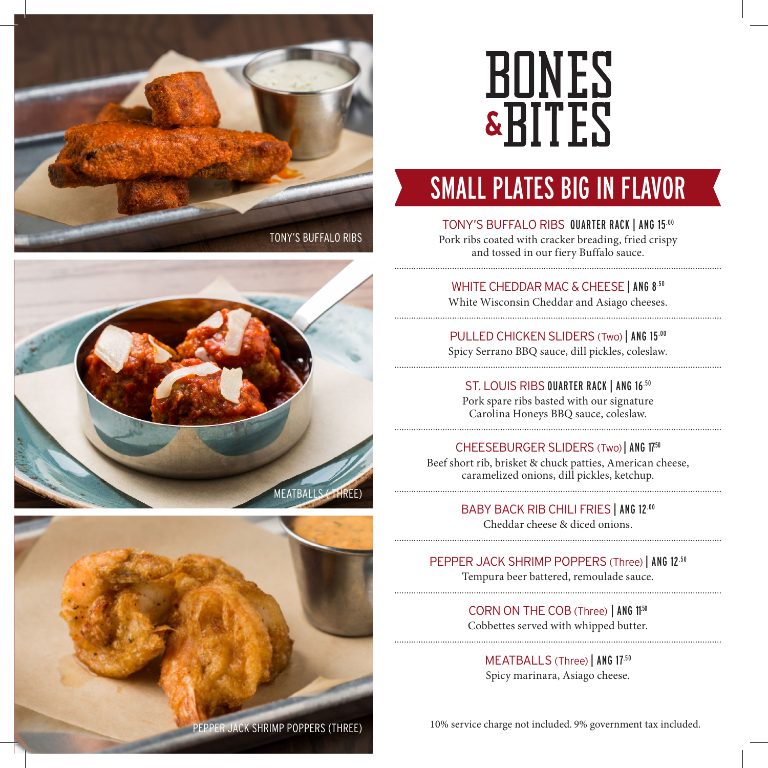





# **BONES &BITES**

### SMALL PLATES BIG IN FLAVOR

#### TONY'S BUFFALO RIBS QUARTER RACK | ANG 15.00

Pork ribs coated with cracker breading, fried crispy and tossed in our fiery Buffalo sauce.

#### WHITE CHEDDAR MAC & CHEESE | ANG 8.50

White Wisconsin Cheddar and Asiago cheeses.

PULLED CHICKEN SLIDERS (Two) | ANG 15.00 Spicy Serrano BBQ sauce, dill pickles, coleslaw.

ST. LOUIS RIBS QUARTER RACK | ANG 16.50 Pork spare ribs basted with our signature Carolina Honeys BBQ sauce, coleslaw.

#### CHEESEBURGER SLIDERS (Two) | ANG 1750

Beef short rib, brisket & chuck patties, American cheese, caramelized onions, dill pickles, ketchup.

> BABY BACK RIB CHILI FRIES | ANG 12.00 Cheddar cheese & diced onions.

#### PEPPER JACK SHRIMP POPPERS (Three) | ANG 12.50

Tempura beer battered, remoulade sauce.

CORN ON THE COB (Three) | ANG 1150 Cobbettes served with whipped butter.

MEATBALLS (Three) | ANG 17.50 Spicy marinara, Asiago cheese.

PEPPER JACK SHRIMP POPPERS (THREE) 10% service charge not included. 9% government tax included.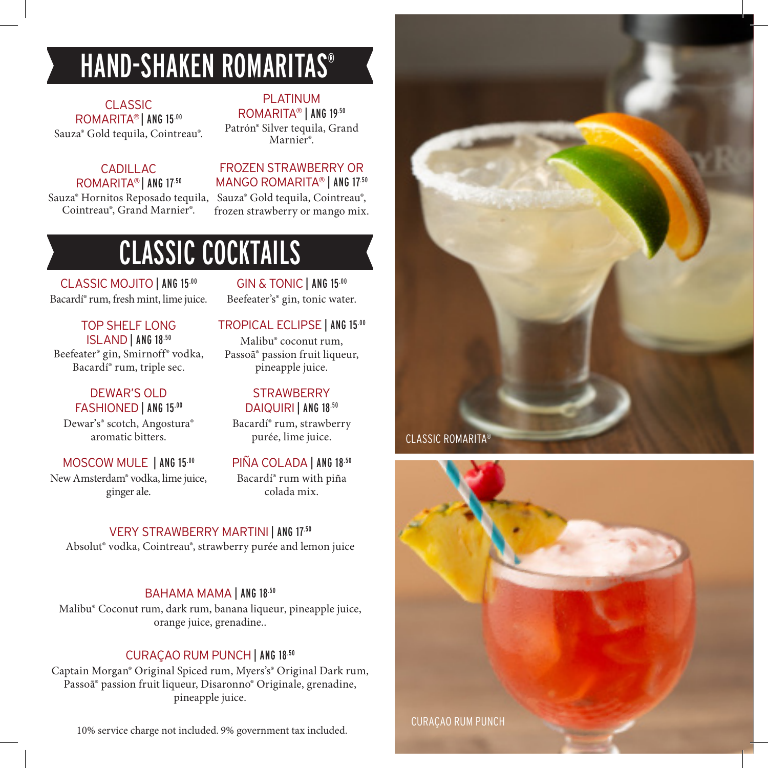### HAND-SHAKEN ROMARITAS®

CLASSIC ROMARITA<sup>®</sup> | ANG 15.00 Sauza® Gold tequila, Cointreau®.

#### CADILLAC. ROMARITA® | ANG 17.50

Sauza® Hornitos Reposado tequila, Cointreau®, Grand Marnier®.

### Patrón® Silver tequila, Grand Marnier®.

PLATINUM ROMARITA® | ANG 19.50

#### FROZEN STRAWBERRY OR MANGO ROMARITA® | ANG 17.50

Sauza® Gold tequila, Cointreau®, frozen strawberry or mango mix.

### CLASSIC COCKTAILS

CLASSIC MOJITO | ANG 15.00 Bacardí® rum, fresh mint, lime juice.

GIN & TONIC | ANG 15.00 Beefeater's® gin, tonic water.

TOP SHELF LONG ISLAND | ANG 18.50 Beefeater® gin, Smirnoff® vodka, Bacardí® rum, triple sec.

#### DEWAR'S OLD FASHIONED | ANG 15.00

Dewar's® scotch, Angostura® aromatic bitters.

#### MOSCOW MULE | ANG 15.00

New Amsterdam® vodka, lime juice, ginger ale.

TROPICAL ECLIPSE | ANG 15.00 Malibu® coconut rum, Passoã® passion fruit liqueur, pineapple juice.

#### **STRAWBERRY** DAIQUIRI | ANG 18.50

Bacardí® rum, strawberry purée, lime juice.

PIÑA COLADA | ANG 18.50 Bacardí® rum with piña colada mix.

VERY STRAWBERRY MARTINI | ANG 17.50 Absolut® vodka, Cointreau®, strawberry purée and lemon juice

#### BAHAMA MAMA | ANG 18.50

Malibu® Coconut rum, dark rum, banana liqueur, pineapple juice, orange juice, grenadine..

#### CURAÇAO RUM PUNCH | ANG 18.50

Captain Morgan® Original Spiced rum, Myers's® Original Dark rum, Passoã® passion fruit liqueur, Disaronno® Originale, grenadine, pineapple juice.

10% service charge not included. 9% government tax included.



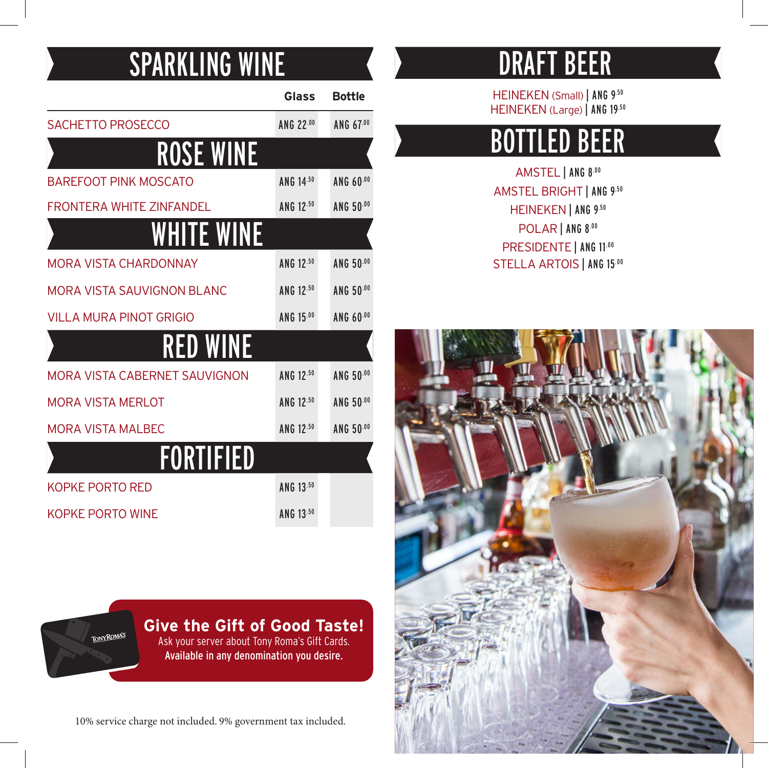### SPARKLING WINE

|                                   | Glass     | <b>Bottle</b> |
|-----------------------------------|-----------|---------------|
| <b>SACHETTO PROSECCO</b>          | ANG 22.00 | ANG 67.00     |
| <b>ROSE WINE</b>                  |           |               |
| <b>BAREFOOT PINK MOSCATO</b>      | ANG 14.50 | ANG 60.00     |
| FRONTFRA WHITF ZINFANDFI          | ANG 12.50 | ANG 50.00     |
| WHITE WINE                        |           |               |
| <b>MORA VISTA CHARDONNAY</b>      | ANG 12.50 | ANG 50.00     |
| <b>MORA VISTA SAUVIGNON BLANC</b> | ANG 12.50 | ANG 50.00     |
| <b>VILLA MURA PINOT GRIGIO</b>    | ANG 15.00 | ANG 60.00     |
| <b>RED WINE</b>                   |           |               |
| MORA VISTA CABERNET SAUVIGNON     | ANG 12.50 | ANG 50.00     |
| <b>MORA VISTA MERLOT</b>          | ANG 12.50 | ANG 50.00     |
| <b>MORA VISTA MALBEC</b>          | ANG 12.50 | ANG 50.00     |
| FORTIFIED                         |           |               |
| KOPKE PORTO RED                   | ANG 13.50 |               |
| KOPKE PORTO WINE                  | ANG 13.50 |               |

### DRAFT BEER

HEINEKEN (Small) | ANG 9.50 HEINEKEN (Large) | ANG 19.50

### BOTTLED BEER

AMSTEL | ANG 8.00 AMSTEL BRIGHT | ANG 9.50 HEINEKEN | ANG 9.50 POLAR | ANG 8.00 PRESIDENTE | ANG 11.00 STELLA ARTOIS | ANG 15.00



**Give the Gift of Good Taste! TONY ROMA'S** Ask your server about Tony Roma's Gift Cards. Available in any denomination you desire.

10% service charge not included. 9% government tax included.